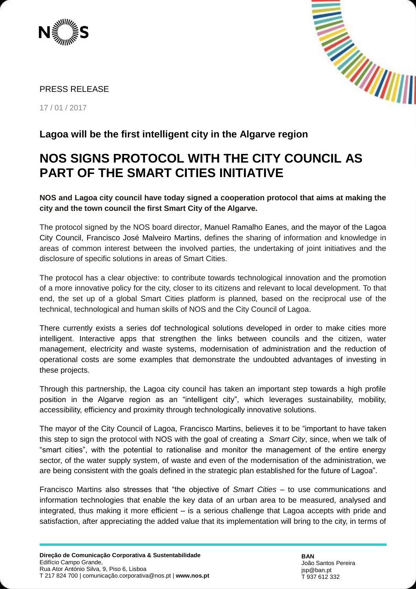



## PRESS RELEASE

17 / 01 / 2017

## **NOS SIGNS PROTOCOL WITH THE CITY COUNCIL AS PART OF THE SMART CITIES INITIATIVE**

**NOS and Lagoa city council have today signed a cooperation protocol that aims at making the city and the town council the first Smart City of the Algarve.**

The protocol signed by the NOS board director, Manuel Ramalho Eanes, and the mayor of the Lagoa City Council, Francisco José Malveiro Martins, defines the sharing of information and knowledge in areas of common interest between the involved parties, the undertaking of joint initiatives and the disclosure of specific solutions in areas of Smart Cities.

The protocol has a clear objective: to contribute towards technological innovation and the promotion of a more innovative policy for the city, closer to its citizens and relevant to local development. To that end, the set up of a global Smart Cities platform is planned, based on the reciprocal use of the technical, technological and human skills of NOS and the City Council of Lagoa.

There currently exists a series dof technological solutions developed in order to make cities more intelligent. Interactive apps that strengthen the links between councils and the citizen, water management, electricity and waste systems, modernisation of administration and the reduction of operational costs are some examples that demonstrate the undoubted advantages of investing in these projects.

Through this partnership, the Lagoa city council has taken an important step towards a high profile position in the Algarve region as an "intelligent city", which leverages sustainability, mobility, accessibility, efficiency and proximity through technologically innovative solutions.

The mayor of the City Council of Lagoa, Francisco Martins, believes it to be "important to have taken this step to sign the protocol with NOS with the goal of creating a *Smart City*, since, when we talk of "smart cities", with the potential to rationalise and monitor the management of the entire energy sector, of the water supply system, of waste and even of the modernisation of the administration, we are being consistent with the goals defined in the strategic plan established for the future of Lagoa".

Francisco Martins also stresses that "the objective of *Smart Cities* – to use communications and information technologies that enable the key data of an urban area to be measured, analysed and integrated, thus making it more efficient – is a serious challenge that Lagoa accepts with pride and satisfaction, after appreciating the added value that its implementation will bring to the city, in terms of